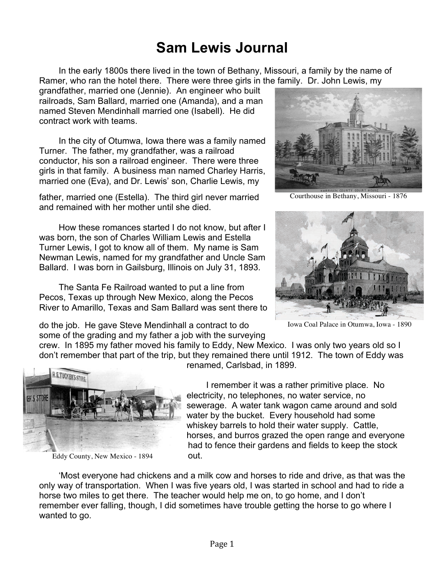# **Sam Lewis Journal**

In the early 1800s there lived in the town of Bethany, Missouri, a family by the name of Ramer, who ran the hotel there. There were three girls in the family. Dr. John Lewis, my

grandfather, married one (Jennie). An engineer who built railroads, Sam Ballard, married one (Amanda), and a man named Steven Mendinhall married one (Isabell). He did contract work with teams.

In the city of Otumwa, Iowa there was a family named Turner. The father, my grandfather, was a railroad conductor, his son a railroad engineer. There were three girls in that family. A business man named Charley Harris, married one (Eva), and Dr. Lewis' son, Charlie Lewis, my

father, married one (Estella). The third girl never married and remained with her mother until she died.

How these romances started I do not know, but after I was born, the son of Charles William Lewis and Estella Turner Lewis, I got to know all of them. My name is Sam Newman Lewis, named for my grandfather and Uncle Sam Ballard. I was born in Gailsburg, Illinois on July 31, 1893.

The Santa Fe Railroad wanted to put a line from Pecos, Texas up through New Mexico, along the Pecos River to Amarillo, Texas and Sam Ballard was sent there to

do the job. He gave Steve Mendinhall a contract to do some of the grading and my father a job with the surveying



Courthouse in Bethany, Missouri - 1876



Iowa Coal Palace in Otumwa, Iowa - 1890

crew. In 1895 my father moved his family to Eddy, New Mexico. I was only two years old so I don't remember that part of the trip, but they remained there until 1912. The town of Eddy was renamed, Carlsbad, in 1899.



Eddy County, New Mexico - 1894

I remember it was a rather primitive place. No electricity, no telephones, no water service, no sewerage. A water tank wagon came around and sold water by the bucket. Every household had some whiskey barrels to hold their water supply. Cattle, horses, and burros grazed the open range and everyone had to fence their gardens and fields to keep the stock out.

'Most everyone had chickens and a milk cow and horses to ride and drive, as that was the only way of transportation. When I was five years old, I was started in school and had to ride a horse two miles to get there. The teacher would help me on, to go home, and I don't remember ever falling, though, I did sometimes have trouble getting the horse to go where I wanted to go.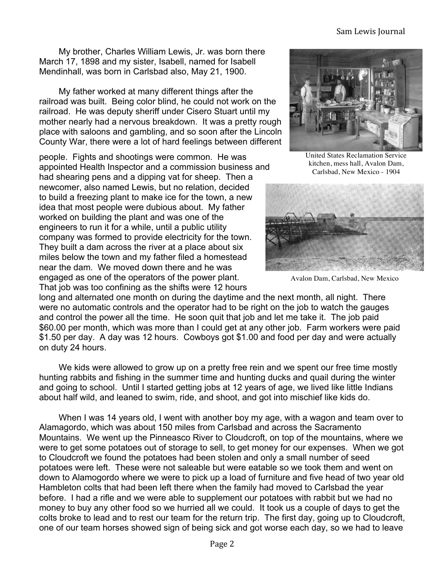#### Sam Lewis Journal

My brother, Charles William Lewis, Jr. was born there March 17, 1898 and my sister, Isabell, named for Isabell Mendinhall, was born in Carlsbad also, May 21, 1900.

My father worked at many different things after the railroad was built. Being color blind, he could not work on the railroad. He was deputy sheriff under Cisero Stuart until my mother nearly had a nervous breakdown. It was a pretty rough place with saloons and gambling, and so soon after the Lincoln County War, there were a lot of hard feelings between different

people. Fights and shootings were common. He was appointed Health Inspector and a commission business and had shearing pens and a dipping vat for sheep. Then a newcomer, also named Lewis, but no relation, decided to build a freezing plant to make ice for the town, a new idea that most people were dubious about. My father worked on building the plant and was one of the engineers to run it for a while, until a public utility company was formed to provide electricity for the town. They built a dam across the river at a place about six miles below the town and my father filed a homestead near the dam. We moved down there and he was engaged as one of the operators of the power plant. That job was too confining as the shifts were 12 hours



United States Reclamation Service kitchen, mess hall, Avalon Dam, Carlsbad, New Mexico - 1904



Avalon Dam, Carlsbad, New Mexico

long and alternated one month on during the daytime and the next month, all night. There were no automatic controls and the operator had to be right on the job to watch the gauges and control the power all the time. He soon quit that job and let me take it. The job paid \$60.00 per month, which was more than I could get at any other job. Farm workers were paid \$1.50 per day. A day was 12 hours. Cowboys got \$1.00 and food per day and were actually on duty 24 hours.

We kids were allowed to grow up on a pretty free rein and we spent our free time mostly hunting rabbits and fishing in the summer time and hunting ducks and quail during the winter and going to school. Until I started getting jobs at 12 years of age, we lived like little Indians about half wild, and leaned to swim, ride, and shoot, and got into mischief like kids do.

When I was 14 years old, I went with another boy my age, with a wagon and team over to Alamagordo, which was about 150 miles from Carlsbad and across the Sacramento Mountains. We went up the Pinneasco River to Cloudcroft, on top of the mountains, where we were to get some potatoes out of storage to sell, to get money for our expenses. When we got to Cloudcroft we found the potatoes had been stolen and only a small number of seed potatoes were left. These were not saleable but were eatable so we took them and went on down to Alamogordo where we were to pick up a load of furniture and five head of two year old Hambleton colts that had been left there when the family had moved to Carlsbad the year before. I had a rifle and we were able to supplement our potatoes with rabbit but we had no money to buy any other food so we hurried all we could. It took us a couple of days to get the colts broke to lead and to rest our team for the return trip. The first day, going up to Cloudcroft, one of our team horses showed sign of being sick and got worse each day, so we had to leave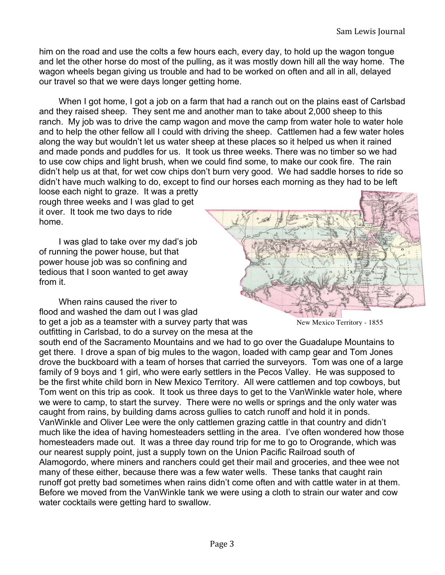him on the road and use the colts a few hours each, every day, to hold up the wagon tongue and let the other horse do most of the pulling, as it was mostly down hill all the way home. The wagon wheels began giving us trouble and had to be worked on often and all in all, delayed our travel so that we were days longer getting home.

When I got home, I got a job on a farm that had a ranch out on the plains east of Carlsbad and they raised sheep. They sent me and another man to take about 2,000 sheep to this ranch. My job was to drive the camp wagon and move the camp from water hole to water hole and to help the other fellow all I could with driving the sheep. Cattlemen had a few water holes along the way but wouldn't let us water sheep at these places so it helped us when it rained and made ponds and puddles for us. It took us three weeks. There was no timber so we had to use cow chips and light brush, when we could find some, to make our cook fire. The rain didn't help us at that, for wet cow chips don't burn very good. We had saddle horses to ride so didn't have much walking to do, except to find our horses each morning as they had to be left

loose each night to graze. It was a pretty rough three weeks and I was glad to get it over. It took me two days to ride home.

I was glad to take over my dad's job of running the power house, but that power house job was so confining and tedious that I soon wanted to get away from it.

When rains caused the river to flood and washed the dam out I was glad to get a job as a teamster with a survey party that was outfitting in Carlsbad, to do a survey on the mesa at the



New Mexico Territory - 1855

south end of the Sacramento Mountains and we had to go over the Guadalupe Mountains to get there. I drove a span of big mules to the wagon, loaded with camp gear and Tom Jones drove the buckboard with a team of horses that carried the surveyors. Tom was one of a large family of 9 boys and 1 girl, who were early settlers in the Pecos Valley. He was supposed to be the first white child born in New Mexico Territory. All were cattlemen and top cowboys, but Tom went on this trip as cook. It took us three days to get to the VanWinkle water hole, where we were to camp, to start the survey. There were no wells or springs and the only water was caught from rains, by building dams across gullies to catch runoff and hold it in ponds. VanWinkle and Oliver Lee were the only cattlemen grazing cattle in that country and didn't much like the idea of having homesteaders settling in the area. I've often wondered how those homesteaders made out. It was a three day round trip for me to go to Orogrande, which was our nearest supply point, just a supply town on the Union Pacific Railroad south of Alamogordo, where miners and ranchers could get their mail and groceries, and thee wee not many of these either, because there was a few water wells. These tanks that caught rain runoff got pretty bad sometimes when rains didn't come often and with cattle water in at them. Before we moved from the VanWinkle tank we were using a cloth to strain our water and cow water cocktails were getting hard to swallow.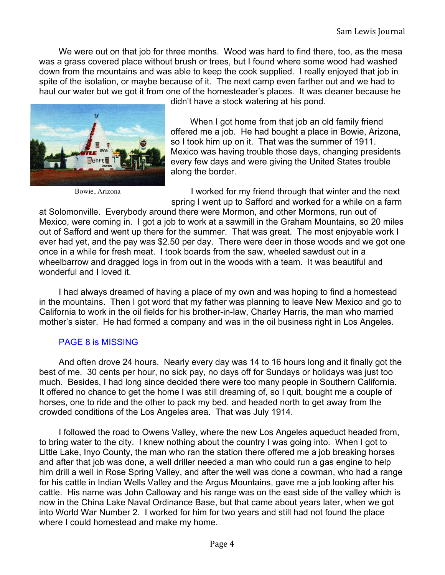We were out on that job for three months. Wood was hard to find there, too, as the mesa was a grass covered place without brush or trees, but I found where some wood had washed down from the mountains and was able to keep the cook supplied. I really enjoyed that job in spite of the isolation, or maybe because of it. The next camp even farther out and we had to haul our water but we got it from one of the homesteader's places. It was cleaner because he



Bowie, Arizona

didn't have a stock watering at his pond.

When I got home from that job an old family friend offered me a job. He had bought a place in Bowie, Arizona, so I took him up on it. That was the summer of 1911. Mexico was having trouble those days, changing presidents every few days and were giving the United States trouble along the border.

I worked for my friend through that winter and the next spring I went up to Safford and worked for a while on a farm

at Solomonville. Everybody around there were Mormon, and other Mormons, run out of Mexico, were coming in. I got a job to work at a sawmill in the Graham Mountains, so 20 miles out of Safford and went up there for the summer. That was great. The most enjoyable work I ever had yet, and the pay was \$2.50 per day. There were deer in those woods and we got one once in a while for fresh meat. I took boards from the saw, wheeled sawdust out in a wheelbarrow and dragged logs in from out in the woods with a team. It was beautiful and wonderful and I loved it.

I had always dreamed of having a place of my own and was hoping to find a homestead in the mountains. Then I got word that my father was planning to leave New Mexico and go to California to work in the oil fields for his brother-in-law, Charley Harris, the man who married mother's sister. He had formed a company and was in the oil business right in Los Angeles.

### PAGE 8 is MISSING

And often drove 24 hours. Nearly every day was 14 to 16 hours long and it finally got the best of me. 30 cents per hour, no sick pay, no days off for Sundays or holidays was just too much. Besides, I had long since decided there were too many people in Southern California. It offered no chance to get the home I was still dreaming of, so I quit, bought me a couple of horses, one to ride and the other to pack my bed, and headed north to get away from the crowded conditions of the Los Angeles area. That was July 1914.

I followed the road to Owens Valley, where the new Los Angeles aqueduct headed from, to bring water to the city. I knew nothing about the country I was going into. When I got to Little Lake, Inyo County, the man who ran the station there offered me a job breaking horses and after that job was done, a well driller needed a man who could run a gas engine to help him drill a well in Rose Spring Valley, and after the well was done a cowman, who had a range for his cattle in Indian Wells Valley and the Argus Mountains, gave me a job looking after his cattle. His name was John Calloway and his range was on the east side of the valley which is now in the China Lake Naval Ordinance Base, but that came about years later, when we got into World War Number 2. I worked for him for two years and still had not found the place where I could homestead and make my home.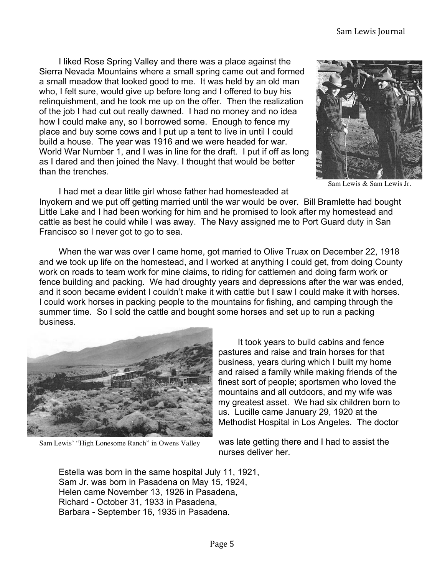I liked Rose Spring Valley and there was a place against the Sierra Nevada Mountains where a small spring came out and formed a small meadow that looked good to me. It was held by an old man who, I felt sure, would give up before long and I offered to buy his relinquishment, and he took me up on the offer. Then the realization of the job I had cut out really dawned. I had no money and no idea how I could make any, so I borrowed some. Enough to fence my place and buy some cows and I put up a tent to live in until I could build a house. The year was 1916 and we were headed for war. World War Number 1, and I was in line for the draft. I put if off as long as I dared and then joined the Navy. I thought that would be better than the trenches.



Sam Lewis & Sam Lewis Jr.

I had met a dear little girl whose father had homesteaded at Inyokern and we put off getting married until the war would be over. Bill Bramlette had bought Little Lake and I had been working for him and he promised to look after my homestead and cattle as best he could while I was away. The Navy assigned me to Port Guard duty in San Francisco so I never got to go to sea.

When the war was over I came home, got married to Olive Truax on December 22, 1918 and we took up life on the homestead, and I worked at anything I could get, from doing County work on roads to team work for mine claims, to riding for cattlemen and doing farm work or fence building and packing. We had droughty years and depressions after the war was ended, and it soon became evident I couldn't make it with cattle but I saw I could make it with horses. I could work horses in packing people to the mountains for fishing, and camping through the summer time. So I sold the cattle and bought some horses and set up to run a packing business.



Sam Lewis' "High Lonesome Ranch" in Owens Valley

It took years to build cabins and fence pastures and raise and train horses for that business, years during which I built my home and raised a family while making friends of the finest sort of people; sportsmen who loved the mountains and all outdoors, and my wife was my greatest asset. We had six children born to us. Lucille came January 29, 1920 at the Methodist Hospital in Los Angeles. The doctor

was late getting there and I had to assist the nurses deliver her.

Estella was born in the same hospital July 11, 1921, Sam Jr. was born in Pasadena on May 15, 1924, Helen came November 13, 1926 in Pasadena, Richard - October 31, 1933 in Pasadena, Barbara - September 16, 1935 in Pasadena.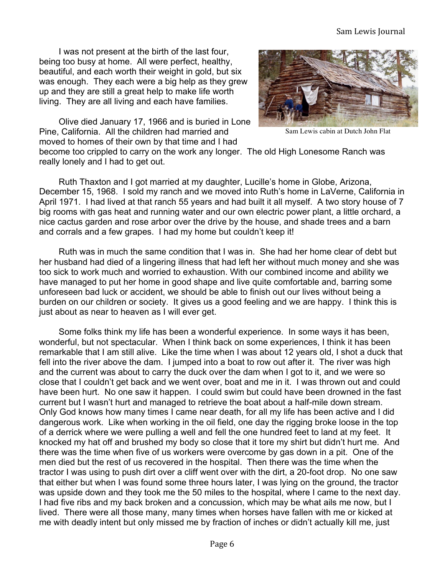#### Sam Lewis Journal

I was not present at the birth of the last four, being too busy at home. All were perfect, healthy, beautiful, and each worth their weight in gold, but six was enough. They each were a big help as they grew up and they are still a great help to make life worth living. They are all living and each have families.



Olive died January 17, 1966 and is buried in Lone Pine, California. All the children had married and moved to homes of their own by that time and I had

Sam Lewis cabin at Dutch John Flat

become too crippled to carry on the work any longer. The old High Lonesome Ranch was really lonely and I had to get out.

Ruth Thaxton and I got married at my daughter, Lucille's home in Globe, Arizona, December 15, 1968. I sold my ranch and we moved into Ruth's home in LaVerne, California in April 1971. I had lived at that ranch 55 years and had built it all myself. A two story house of 7 big rooms with gas heat and running water and our own electric power plant, a little orchard, a nice cactus garden and rose arbor over the drive by the house, and shade trees and a barn and corrals and a few grapes. I had my home but couldn't keep it!

Ruth was in much the same condition that I was in. She had her home clear of debt but her husband had died of a lingering illness that had left her without much money and she was too sick to work much and worried to exhaustion. With our combined income and ability we have managed to put her home in good shape and live quite comfortable and, barring some unforeseen bad luck or accident, we should be able to finish out our lives without being a burden on our children or society. It gives us a good feeling and we are happy. I think this is just about as near to heaven as I will ever get.

Some folks think my life has been a wonderful experience. In some ways it has been, wonderful, but not spectacular. When I think back on some experiences, I think it has been remarkable that I am still alive. Like the time when I was about 12 years old, I shot a duck that fell into the river above the dam. I jumped into a boat to row out after it. The river was high and the current was about to carry the duck over the dam when I got to it, and we were so close that I couldn't get back and we went over, boat and me in it. I was thrown out and could have been hurt. No one saw it happen. I could swim but could have been drowned in the fast current but I wasn't hurt and managed to retrieve the boat about a half-mile down stream. Only God knows how many times I came near death, for all my life has been active and I did dangerous work. Like when working in the oil field, one day the rigging broke loose in the top of a derrick where we were pulling a well and fell the one hundred feet to land at my feet. It knocked my hat off and brushed my body so close that it tore my shirt but didn't hurt me. And there was the time when five of us workers were overcome by gas down in a pit. One of the men died but the rest of us recovered in the hospital. Then there was the time when the tractor I was using to push dirt over a cliff went over with the dirt, a 20-foot drop. No one saw that either but when I was found some three hours later, I was lying on the ground, the tractor was upside down and they took me the 50 miles to the hospital, where I came to the next day. I had five ribs and my back broken and a concussion, which may be what ails me now, but I lived. There were all those many, many times when horses have fallen with me or kicked at me with deadly intent but only missed me by fraction of inches or didn't actually kill me, just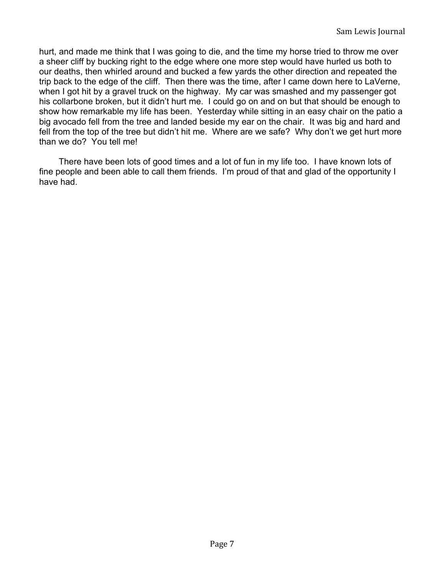hurt, and made me think that I was going to die, and the time my horse tried to throw me over a sheer cliff by bucking right to the edge where one more step would have hurled us both to our deaths, then whirled around and bucked a few yards the other direction and repeated the trip back to the edge of the cliff. Then there was the time, after I came down here to LaVerne, when I got hit by a gravel truck on the highway. My car was smashed and my passenger got his collarbone broken, but it didn't hurt me. I could go on and on but that should be enough to show how remarkable my life has been. Yesterday while sitting in an easy chair on the patio a big avocado fell from the tree and landed beside my ear on the chair. It was big and hard and fell from the top of the tree but didn't hit me. Where are we safe? Why don't we get hurt more than we do? You tell me!

There have been lots of good times and a lot of fun in my life too. I have known lots of fine people and been able to call them friends. I'm proud of that and glad of the opportunity I have had.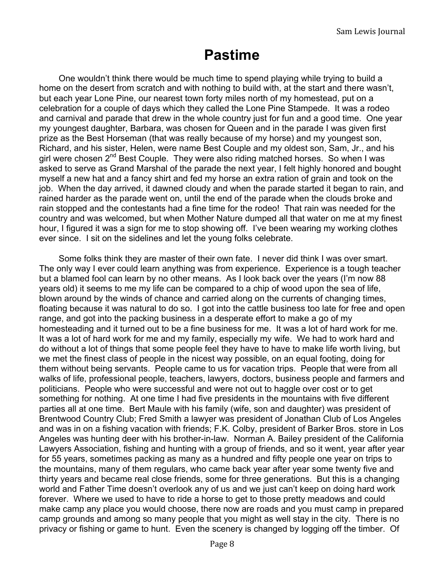## **Pastime**

One wouldn't think there would be much time to spend playing while trying to build a home on the desert from scratch and with nothing to build with, at the start and there wasn't, but each year Lone Pine, our nearest town forty miles north of my homestead, put on a celebration for a couple of days which they called the Lone Pine Stampede. It was a rodeo and carnival and parade that drew in the whole country just for fun and a good time. One year my youngest daughter, Barbara, was chosen for Queen and in the parade I was given first prize as the Best Horseman (that was really because of my horse) and my youngest son, Richard, and his sister, Helen, were name Best Couple and my oldest son, Sam, Jr., and his girl were chosen  $2^{nd}$  Best Couple. They were also riding matched horses. So when I was asked to serve as Grand Marshal of the parade the next year, I felt highly honored and bought myself a new hat and a fancy shirt and fed my horse an extra ration of grain and took on the job. When the day arrived, it dawned cloudy and when the parade started it began to rain, and rained harder as the parade went on, until the end of the parade when the clouds broke and rain stopped and the contestants had a fine time for the rodeo! That rain was needed for the country and was welcomed, but when Mother Nature dumped all that water on me at my finest hour, I figured it was a sign for me to stop showing off. I've been wearing my working clothes ever since. I sit on the sidelines and let the young folks celebrate.

Some folks think they are master of their own fate. I never did think I was over smart. The only way I ever could learn anything was from experience. Experience is a tough teacher but a blamed fool can learn by no other means. As I look back over the years (I'm now 88 years old) it seems to me my life can be compared to a chip of wood upon the sea of life, blown around by the winds of chance and carried along on the currents of changing times, floating because it was natural to do so. I got into the cattle business too late for free and open range, and got into the packing business in a desperate effort to make a go of my homesteading and it turned out to be a fine business for me. It was a lot of hard work for me. It was a lot of hard work for me and my family, especially my wife. We had to work hard and do without a lot of things that some people feel they have to have to make life worth living, but we met the finest class of people in the nicest way possible, on an equal footing, doing for them without being servants. People came to us for vacation trips. People that were from all walks of life, professional people, teachers, lawyers, doctors, business people and farmers and politicians. People who were successful and were not out to haggle over cost or to get something for nothing. At one time I had five presidents in the mountains with five different parties all at one time. Bert Maule with his family (wife, son and daughter) was president of Brentwood Country Club; Fred Smith a lawyer was president of Jonathan Club of Los Angeles and was in on a fishing vacation with friends; F.K. Colby, president of Barker Bros. store in Los Angeles was hunting deer with his brother-in-law. Norman A. Bailey president of the California Lawyers Association, fishing and hunting with a group of friends, and so it went, year after year for 55 years, sometimes packing as many as a hundred and fifty people one year on trips to the mountains, many of them regulars, who came back year after year some twenty five and thirty years and became real close friends, some for three generations. But this is a changing world and Father Time doesn't overlook any of us and we just can't keep on doing hard work forever. Where we used to have to ride a horse to get to those pretty meadows and could make camp any place you would choose, there now are roads and you must camp in prepared camp grounds and among so many people that you might as well stay in the city. There is no privacy or fishing or game to hunt. Even the scenery is changed by logging off the timber. Of